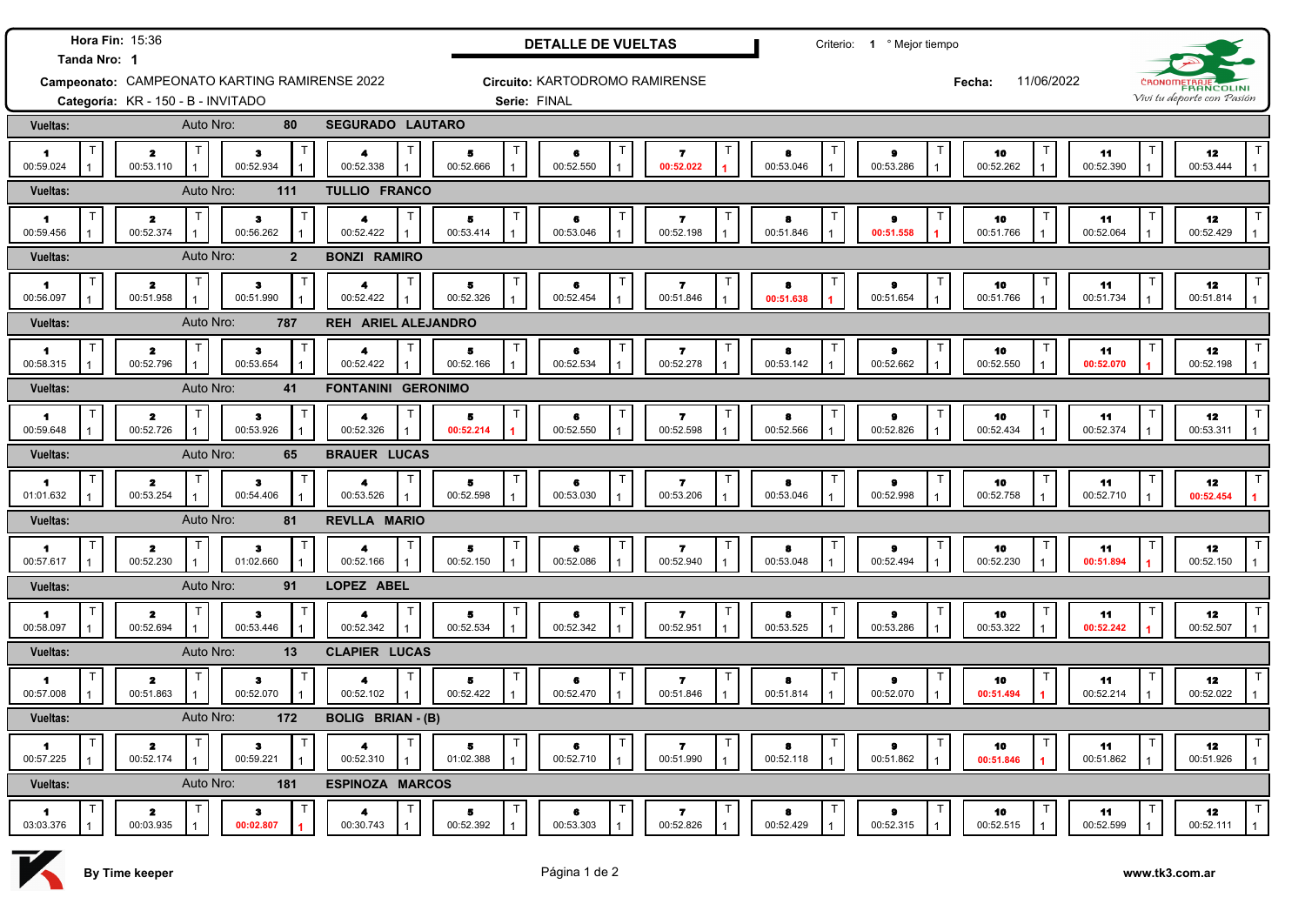| Hora Fin: 15:36<br>Tanda Nro: 1               |                                          |                                  |                                                                 |                                            | <b>DETALLE DE VUELTAS</b>        |                                             |                        | Criterio: 1 º Mejor tiempo             |                      |                                |                              |  |
|-----------------------------------------------|------------------------------------------|----------------------------------|-----------------------------------------------------------------|--------------------------------------------|----------------------------------|---------------------------------------------|------------------------|----------------------------------------|----------------------|--------------------------------|------------------------------|--|
| Campeonato: CAMPEONATO KARTING RAMIRENSE 2022 |                                          |                                  |                                                                 |                                            | Circuito: KARTODROMO RAMIRENSE   |                                             |                        |                                        | 11/06/2022<br>Fecha: |                                | <b>С̀ВОNОП</b><br>FRANCOLINI |  |
| Categoría: KR - 150 - B - INVITADO            |                                          |                                  |                                                                 |                                            | Serie: FINAL                     |                                             |                        |                                        |                      |                                | Vivi tu deporte con Pasión   |  |
| Vueltas:                                      | Auto Nro:                                | 80                               | <b>SEGURADO LAUTARO</b>                                         |                                            |                                  |                                             |                        |                                        |                      |                                |                              |  |
| 1.<br>00:59.024                               | $\mathbf{z}$<br>00:53.110                | з<br>00:52.934                   | 4<br>00:52.338                                                  | 5<br>00:52.666                             | 6<br>00:52.550<br>$\overline{1}$ | $\overline{\mathbf{r}}$<br>00:52.022        | 8<br>00:53.046         | $\pmb{9}$<br>00:53.286<br>$\mathbf{1}$ | 10<br>00:52.262      | 11<br>00:52.390                | 12<br>00:53.444              |  |
| Vueltas:                                      | Auto Nro:                                | 111                              | TULLIO FRANCO                                                   |                                            |                                  |                                             |                        |                                        |                      |                                |                              |  |
| $\blacksquare$<br>00:59.456                   | $\mathbf{z}$<br>00:52.374                | з<br>00:56.262                   | $\blacktriangle$<br>00:52.422                                   | 5<br>00:53.414                             | 6<br>00:53.046                   | $\overline{\mathbf{r}}$<br>00:52.198        | $\bullet$<br>00:51.846 | $\bullet$<br>00:51.558                 | 10<br>00:51.766      | 11<br>00:52.064                | 12<br>00:52.429              |  |
| <b>Vueltas:</b>                               | Auto Nro:                                | $\overline{2}$                   | <b>BONZI RAMIRO</b>                                             |                                            |                                  |                                             |                        |                                        |                      |                                |                              |  |
| 1<br>00:56.097                                | Т<br>$\mathbf{z}$<br>00:51.958           | $\mathbf T$<br>з<br>00:51.990    | 4<br>00:52.422                                                  | Τ<br>5<br>00:52.326                        | 6<br>00:52.454                   | 7<br>00:51.846                              | 8<br>00:51.638         | 9<br>00:51.654                         | 10<br>00:51.766      | 11<br>00:51.734                | 12<br>00:51.814              |  |
| <b>Vueltas:</b>                               | Auto Nro:                                | 787                              | <b>REH ARIEL ALEJANDRO</b>                                      |                                            |                                  |                                             |                        |                                        |                      |                                |                              |  |
| $\blacktriangleleft$<br>00:58.315             | Т<br>$\mathbf{z}$<br>00:52.796           | Τ<br>$\bullet$<br>00:53.654      | $\mathsf T$<br>4<br>00:52.422                                   | T.<br>5<br>00:52.166                       | 6<br>00:52.534                   | $\overline{ }$<br>00:52.278                 | 8<br>00:53.142         | $\bullet$<br>00:52.662                 | 10<br>00:52.550      | 11<br>00:52.070                | 12<br>00:52.198              |  |
| <b>Vueltas:</b>                               | Auto Nro:                                | 41                               | <b>FONTANINI GERONIMO</b>                                       |                                            |                                  |                                             |                        |                                        |                      |                                |                              |  |
| $\blacktriangleleft$<br>00:59.648             | Т<br>$\mathbf{z}$<br>00:52.726           | $\bullet$<br>00:53.926           | Т<br>$\blacktriangleleft$<br>00:52.326<br>$\mathbf{1}$          | 5<br>00:52.214                             | 6<br>00:52.550                   | $\overline{\mathbf{r}}$<br>00:52.598        | 8<br>00:52.566         | $\pmb{9}$<br>00:52.826                 | 10<br>00:52.434      | T<br>11<br>00:52.374           | 12<br>00:53.311              |  |
| Vueltas:                                      | Auto Nro:                                | 65                               | <b>BRAUER LUCAS</b>                                             |                                            |                                  |                                             |                        |                                        |                      |                                |                              |  |
| 1<br>01:01.632                                | $\mathbf{z}$<br>00:53.254                | з<br>00:54.406                   | $\mathsf T$<br>4<br>00:53.526<br>$\mathbf{1}$                   | 5<br>00:52.598                             | 6<br>00:53.030                   | $\overline{\mathbf{r}}$<br>00:53.206        | 8<br>00:53.046         | $\bullet$<br>00:52.998                 | 10<br>00:52.758      | 11<br>00:52.710                | 12<br>00:52.454              |  |
| <b>Vueltas:</b>                               | Auto Nro:                                | 81                               | <b>REVLLA MARIO</b>                                             |                                            |                                  |                                             |                        |                                        |                      |                                |                              |  |
| 1<br>00:57.617                                | T<br>$\mathbf{z}$<br>00:52.230           | ٦<br>$\bullet$<br>01:02.660      | $\mathsf{T}$<br>$\blacktriangle$<br>00:52.166<br>$\overline{1}$ | T<br>5<br>00:52.150                        | Т<br>6<br>00:52.086              | $\mathsf{T}$<br>$\overline{7}$<br>00:52.940 | $\bullet$<br>00:53.048 | $\bullet$<br>00:52.494                 | 10<br>00:52.230      | $\mathsf T$<br>11<br>00:51.894 | 12<br>00:52.150              |  |
| Vueltas:                                      | Auto Nro:                                | 91                               | LOPEZ ABEL                                                      |                                            |                                  |                                             |                        |                                        |                      |                                |                              |  |
| 1<br>00:58.097                                | $\mathsf T$<br>$\mathbf{z}$<br>00:52.694 | ा<br>з<br>00:53.446              | Т<br>00:52.342                                                  | T<br>5<br>00:52.534                        | Т<br>6<br>00:52.342              | $\mathsf T$<br>7<br>00:52.951               | 8<br>00:53.525         | Т<br>9<br>00:53.286                    | 10<br>00:53.322      | Т<br>11<br>00:52.242           | 12<br>00:52.507              |  |
| Vueltas:                                      | Auto Nro:                                | 13                               | <b>CLAPIER LUCAS</b>                                            |                                            |                                  |                                             |                        |                                        |                      |                                |                              |  |
| 1<br>00:57.008                                | $\mathbf{z}$<br>00:51.863                | $\mathbf{3}$<br>00:52.070        | T<br>4<br>00:52.102                                             | Т<br>$\overline{\phantom{a}}$<br>00:52.422 | 6<br>00:52.470                   | $\mathsf{T}$<br>7<br>00:51.846              | 8<br>00:51.814         | 9<br>00:52.070                         | 10<br>00:51.494      | 11<br>00:52.214                | 12<br>00:52.022              |  |
| Vueltas:                                      | Auto Nro:                                | 172                              | <b>BOLIG BRIAN - (B)</b>                                        |                                            |                                  |                                             |                        |                                        |                      |                                |                              |  |
| 1<br>00:57.225                                | $\mathbf{z}$<br>00:52.174                | $\ddot{\mathbf{3}}$<br>00:59.221 | $\blacktriangleleft$<br>00:52.310                               | Т<br>5<br>01:02.388                        | 6<br>00:52.710                   | Τ<br>$\overline{\mathbf{r}}$<br>00:51.990   | 8<br>00:52.118         | $\bullet$<br>00:51.862                 | 10<br>00:51.846      | Π<br>11<br>00:51.862           | 12<br>00:51.926              |  |
| Vueltas:                                      | Auto Nro:                                | 181                              | <b>ESPINOZA MARCOS</b>                                          |                                            |                                  |                                             |                        |                                        |                      |                                |                              |  |
| 1<br>03:03.376                                | $\mathbf{z}$<br>00:03.935                | з<br>00:02.807                   | 4<br>00:30.743                                                  | 5<br>00:52.392                             | 6<br>00:53.303                   | 7<br>00:52.826                              | 8<br>00:52.429         | $\bullet$<br>00:52.315                 | 10<br>00:52.515      | 11<br>00:52.599                | 12<br>00:52.111              |  |